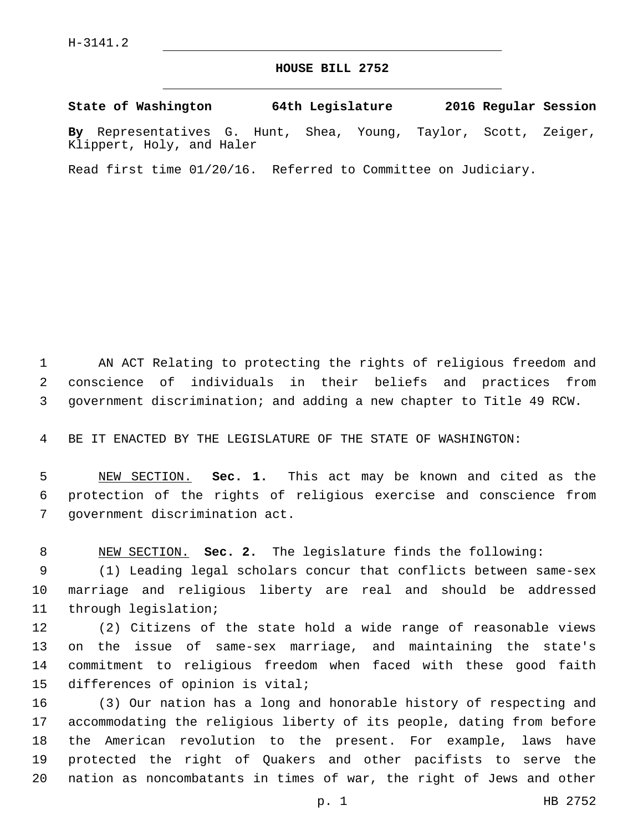## **HOUSE BILL 2752**

**State of Washington 64th Legislature 2016 Regular Session**

**By** Representatives G. Hunt, Shea, Young, Taylor, Scott, Zeiger, Klippert, Holy, and Haler

Read first time 01/20/16. Referred to Committee on Judiciary.

 AN ACT Relating to protecting the rights of religious freedom and conscience of individuals in their beliefs and practices from government discrimination; and adding a new chapter to Title 49 RCW.

BE IT ENACTED BY THE LEGISLATURE OF THE STATE OF WASHINGTON:

 NEW SECTION. **Sec. 1.** This act may be known and cited as the protection of the rights of religious exercise and conscience from government discrimination act.

NEW SECTION. **Sec. 2.** The legislature finds the following:

 (1) Leading legal scholars concur that conflicts between same-sex marriage and religious liberty are real and should be addressed 11 through legislation;

 (2) Citizens of the state hold a wide range of reasonable views on the issue of same-sex marriage, and maintaining the state's commitment to religious freedom when faced with these good faith 15 differences of opinion is vital;

 (3) Our nation has a long and honorable history of respecting and accommodating the religious liberty of its people, dating from before the American revolution to the present. For example, laws have protected the right of Quakers and other pacifists to serve the nation as noncombatants in times of war, the right of Jews and other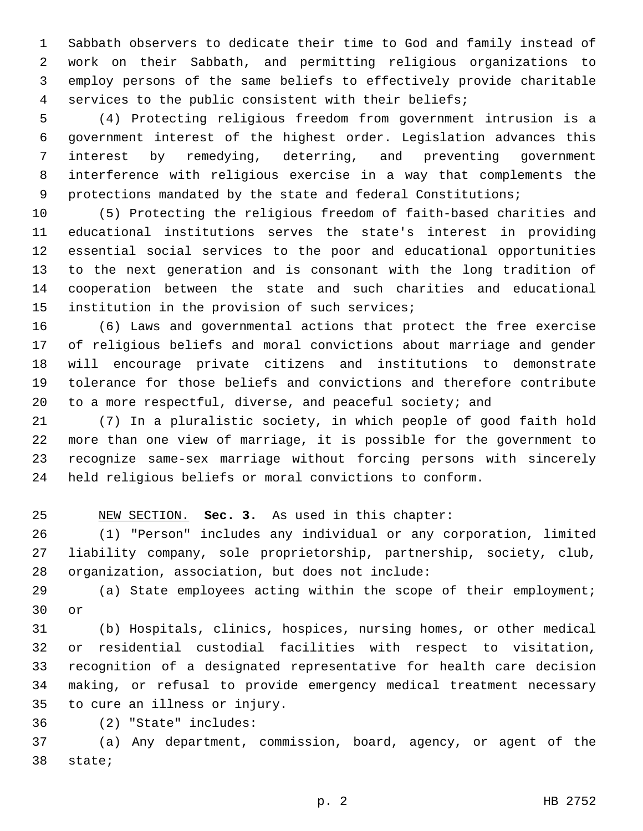Sabbath observers to dedicate their time to God and family instead of work on their Sabbath, and permitting religious organizations to employ persons of the same beliefs to effectively provide charitable services to the public consistent with their beliefs;

 (4) Protecting religious freedom from government intrusion is a government interest of the highest order. Legislation advances this interest by remedying, deterring, and preventing government interference with religious exercise in a way that complements the 9 protections mandated by the state and federal Constitutions;

 (5) Protecting the religious freedom of faith-based charities and educational institutions serves the state's interest in providing essential social services to the poor and educational opportunities to the next generation and is consonant with the long tradition of cooperation between the state and such charities and educational 15 institution in the provision of such services;

 (6) Laws and governmental actions that protect the free exercise of religious beliefs and moral convictions about marriage and gender will encourage private citizens and institutions to demonstrate tolerance for those beliefs and convictions and therefore contribute to a more respectful, diverse, and peaceful society; and

 (7) In a pluralistic society, in which people of good faith hold more than one view of marriage, it is possible for the government to recognize same-sex marriage without forcing persons with sincerely held religious beliefs or moral convictions to conform.

NEW SECTION. **Sec. 3.** As used in this chapter:

 (1) "Person" includes any individual or any corporation, limited liability company, sole proprietorship, partnership, society, club, 28 organization, association, but does not include:

 (a) State employees acting within the scope of their employment; 30 or

 (b) Hospitals, clinics, hospices, nursing homes, or other medical or residential custodial facilities with respect to visitation, recognition of a designated representative for health care decision making, or refusal to provide emergency medical treatment necessary 35 to cure an illness or injury.

(2) "State" includes:36

 (a) Any department, commission, board, agency, or agent of the 38 state;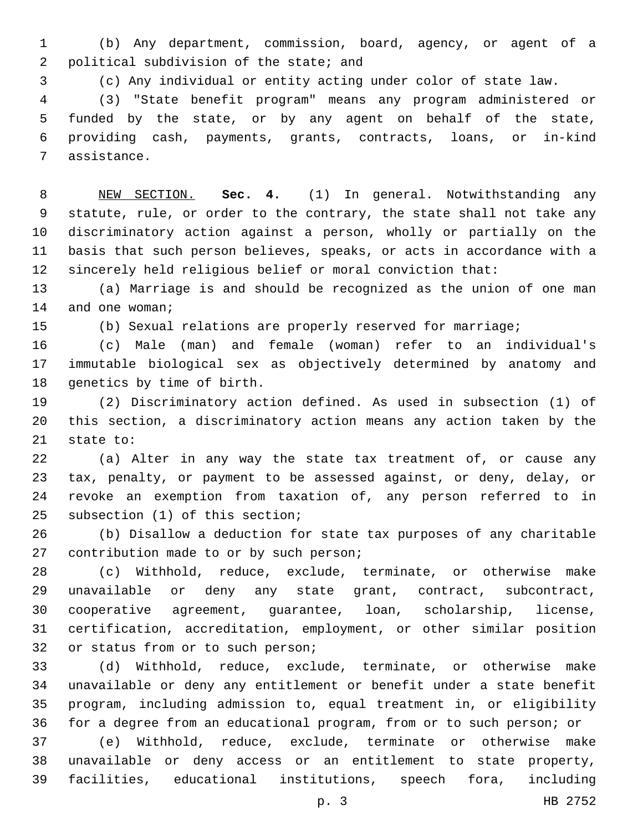(b) Any department, commission, board, agency, or agent of a 2 political subdivision of the state; and

(c) Any individual or entity acting under color of state law.

 (3) "State benefit program" means any program administered or funded by the state, or by any agent on behalf of the state, providing cash, payments, grants, contracts, loans, or in-kind 7 assistance.

 NEW SECTION. **Sec. 4.** (1) In general. Notwithstanding any statute, rule, or order to the contrary, the state shall not take any discriminatory action against a person, wholly or partially on the basis that such person believes, speaks, or acts in accordance with a sincerely held religious belief or moral conviction that:

 (a) Marriage is and should be recognized as the union of one man 14 and one woman;

(b) Sexual relations are properly reserved for marriage;

 (c) Male (man) and female (woman) refer to an individual's immutable biological sex as objectively determined by anatomy and 18 genetics by time of birth.

 (2) Discriminatory action defined. As used in subsection (1) of this section, a discriminatory action means any action taken by the 21 state to:

 (a) Alter in any way the state tax treatment of, or cause any tax, penalty, or payment to be assessed against, or deny, delay, or revoke an exemption from taxation of, any person referred to in 25 subsection (1) of this section;

 (b) Disallow a deduction for state tax purposes of any charitable 27 contribution made to or by such person;

 (c) Withhold, reduce, exclude, terminate, or otherwise make unavailable or deny any state grant, contract, subcontract, cooperative agreement, guarantee, loan, scholarship, license, certification, accreditation, employment, or other similar position 32 or status from or to such person;

 (d) Withhold, reduce, exclude, terminate, or otherwise make unavailable or deny any entitlement or benefit under a state benefit program, including admission to, equal treatment in, or eligibility for a degree from an educational program, from or to such person; or

 (e) Withhold, reduce, exclude, terminate or otherwise make unavailable or deny access or an entitlement to state property, facilities, educational institutions, speech fora, including

p. 3 HB 2752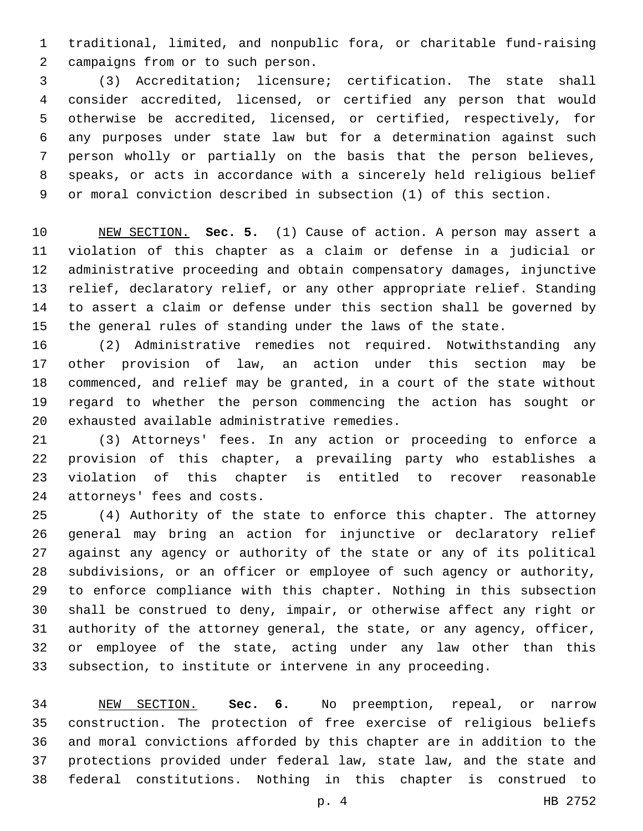traditional, limited, and nonpublic fora, or charitable fund-raising 2 campaigns from or to such person.

 (3) Accreditation; licensure; certification. The state shall consider accredited, licensed, or certified any person that would otherwise be accredited, licensed, or certified, respectively, for any purposes under state law but for a determination against such person wholly or partially on the basis that the person believes, speaks, or acts in accordance with a sincerely held religious belief or moral conviction described in subsection (1) of this section.

 NEW SECTION. **Sec. 5.** (1) Cause of action. A person may assert a violation of this chapter as a claim or defense in a judicial or administrative proceeding and obtain compensatory damages, injunctive relief, declaratory relief, or any other appropriate relief. Standing to assert a claim or defense under this section shall be governed by the general rules of standing under the laws of the state.

 (2) Administrative remedies not required. Notwithstanding any other provision of law, an action under this section may be commenced, and relief may be granted, in a court of the state without regard to whether the person commencing the action has sought or 20 exhausted available administrative remedies.

 (3) Attorneys' fees. In any action or proceeding to enforce a provision of this chapter, a prevailing party who establishes a violation of this chapter is entitled to recover reasonable 24 attorneys' fees and costs.

 (4) Authority of the state to enforce this chapter. The attorney general may bring an action for injunctive or declaratory relief against any agency or authority of the state or any of its political subdivisions, or an officer or employee of such agency or authority, to enforce compliance with this chapter. Nothing in this subsection shall be construed to deny, impair, or otherwise affect any right or authority of the attorney general, the state, or any agency, officer, or employee of the state, acting under any law other than this subsection, to institute or intervene in any proceeding.

 NEW SECTION. **Sec. 6.** No preemption, repeal, or narrow construction. The protection of free exercise of religious beliefs and moral convictions afforded by this chapter are in addition to the protections provided under federal law, state law, and the state and federal constitutions. Nothing in this chapter is construed to